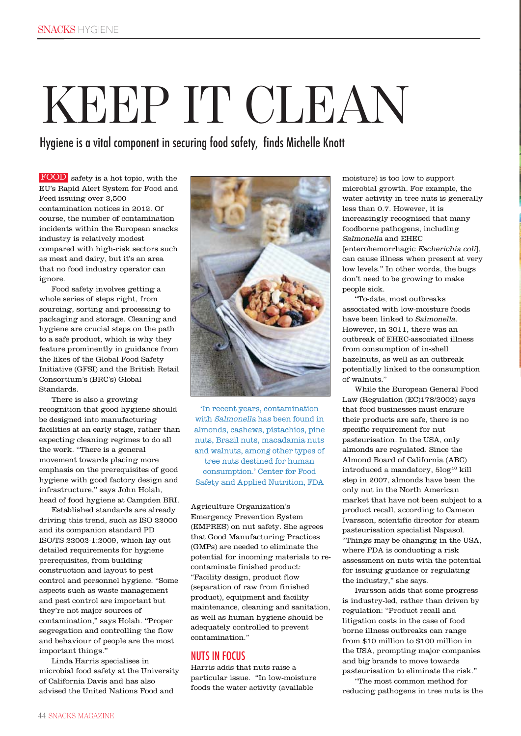# KEEP IT CLEAN

Hygiene is a vital component in securing food safety, finds Michelle Knott

FOOD safety is a hot topic, with the EU's Rapid Alert System for Food and Feed issuing over 3,500 contamination notices in 2012. Of course, the number of contamination incidents within the European snacks industry is relatively modest compared with high-risk sectors such as meat and dairy, but it's an area that no food industry operator can ignore.

Food safety involves getting a whole series of steps right, from sourcing, sorting and processing to packaging and storage. Cleaning and hygiene are crucial steps on the path to a safe product, which is why they feature prominently in guidance from the likes of the Global Food Safety Initiative (GFSI) and the British Retail Consortium's (BRC's) Global Standards.

There is also a growing recognition that good hygiene should be designed into manufacturing facilities at an early stage, rather than expecting cleaning regimes to do all the work. "There is a general movement towards placing more emphasis on the prerequisites of good hygiene with good factory design and infrastructure," says John Holah, head of food hygiene at Campden BRI.

Established standards are already driving this trend, such as ISO 22000 and its companion standard PD ISO/TS 22002-1:2009, which lay out detailed requirements for hygiene prerequisites, from building construction and layout to pest control and personnel hygiene. "Some aspects such as waste management and pest control are important but they're not major sources of contamination," says Holah. "Proper segregation and controlling the flow and behaviour of people are the most important things."

Linda Harris specialises in microbial food safety at the University of California Davis and has also advised the United Nations Food and



'In recent years, contamination with Salmonella has been found in almonds, cashews, pistachios, pine nuts, Brazil nuts, macadamia nuts and walnuts, among other types of tree nuts destined for human consumption.' Center for Food Safety and Applied Nutrition, FDA

Agriculture Organization's Emergency Prevention System (EMPRES) on nut safety. She agrees that Good Manufacturing Practices (GMPs) are needed to eliminate the potential for incoming materials to recontaminate finished product: "Facility design, product flow (separation of raw from finished product), equipment and facility maintenance, cleaning and sanitation, as well as human hygiene should be adequately controlled to prevent contamination."

### NUTS IN FOCUS

Harris adds that nuts raise a particular issue. "In low-moisture foods the water activity (available

moisture) is too low to support microbial growth. For example, the water activity in tree nuts is generally less than 0.7. However, it is increasingly recognised that many foodborne pathogens, including Salmonella and EHEC [enterohemorrhagic Escherichia coli], can cause illness when present at very low levels." In other words, the bugs don't need to be growing to make people sick.

"To-date, most outbreaks associated with low-moisture foods have been linked to Salmonella. However, in 2011, there was an outbreak of EHEC-associated illness from consumption of in-shell hazelnuts, as well as an outbreak potentially linked to the consumption of walnuts."

While the European General Food Law (Regulation (EC)178/2002) says that food businesses must ensure their products are safe, there is no specific requirement for nut pasteurisation. In the USA, only almonds are regulated. Since the Almond Board of California (ABC)  $\>$ introduced a mandatory, $5\log^{10}$ kill step in 2007, almonds have been the only nut in the North American market that have not been subject to a product recall, according to Cameon Ivarsson, scientific director for steam pasteurisation specialist Napasol. "Things may be changing in the USA, where FDA is conducting a risk assessment on nuts with the potential for issuing guidance or regulating the industry," she says.

Ivarsson adds that some progress is industry-led, rather than driven by regulation: "Product recall and litigation costs in the case of food borne illness outbreaks can range from \$10 million to \$100 million in the USA, prompting major companies and big brands to move towards pasteurisation to eliminate the risk."

"The most common method for reducing pathogens in tree nuts is the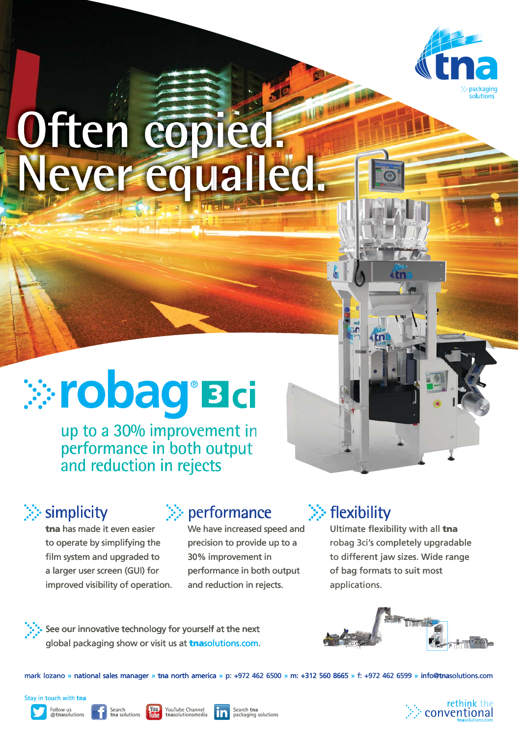

# **Often copied. Never equalled.**

# *<b>Cobag* Bci

up to a 30% improvement in performance in both output performance in both outpu<br>and reduction in rejects

 $\gg$  simplicity

**tna** has made it even easier to operate by simplifying the simplifying the film system and upgraded to a larger user screen (GUI) for for improved visibility of operation.

### $\textsf{simplicity} \qquad \geqslant \textsf{performance} \qquad \geqslant \textsf{flexibility}$

We have increased speed and precision to provide up to a a 30% improvement in performance in both output and reduction in rejects. rejects<br>
<br>
<br>
<br>
<br> **:** performance<br>
<br>
we have increased speed<br>
precision to provide up to<br>
<br>
<br>
<br>
performance in both out<br>
<br>
and reduction in rejects. We have increased speed and<br>
precision to provide up to a<br>
30% improvement in<br>
30% improvement in<br>
performance in both output<br>
and reduction in rejects.<br>
applications.<br>
<br>
<br>
yourself at the next<br>
and reduction in retects. ate by simplifying the precision to provide up to a robag 3ci's come and upgraded to 30% improvement in to different user screen (GUI) for performance in both output of bag form divisibility of operation. and reduction in

## $\gg$  flexibility

Ultimate flexibility with all **tna** robag 3ci's completely upgradable to different jaw sizes. Wide range of bag formats to suit most applications.

See our innovative technology for yourself at the next global packaging show or visit us at **tna**solutions.com. technology for yourself at the next<br>now or visit us at **trasolutions.com.**<br>manager » tna north america » p: +972 462 6500 » m: +312 560 8665<br>h<br>Noully YouTube Channel **for Search tna** 



mark lozano » national sales manager » **tna** north america » p: +972 462 6500 » m: +312 560 8665 » f: +972 462 6599 » info@**tna**solutions.com m: +312 560 8665 » f: +972 462 6599 » info

Stay in touch with **tna**







**Exarch COU YouTube Channel Coupon Search tna than** solutions **COU than** packaging solutions

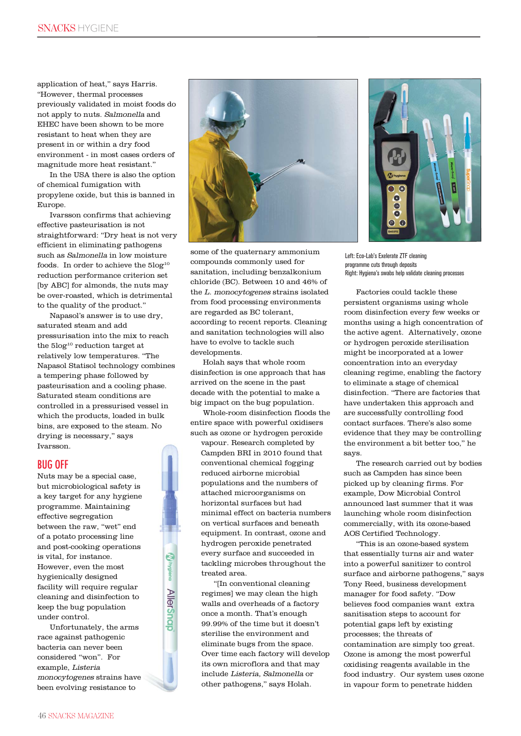application of heat," says Harris. "However, thermal processes previously validated in moist foods do not apply to nuts. Salmonella and EHEC have been shown to be more resistant to heat when they are present in or within a dry food environment - in most cases orders of magnitude more heat resistant."

In the USA there is also the option of chemical fumigation with propylene oxide, but this is banned in Europe.

Ivarsson confirms that achieving effective pasteurisation is not straightforward: "Dry heat is not very efficient in eliminating pathogens such as Salmonella in low moisture foods. In order to achieve the  $5\log^{10}$ reduction performance criterion set [by ABC] for almonds, the nuts may be over-roasted, which is detrimental to the quality of the product."

Napasol's answer is to use dry, saturated steam and add pressurisation into the mix to reach the 5log<sup>10</sup> reduction target at relatively low temperatures. "The Napasol Statisol technology combines a tempering phase followed by pasteurisation and a cooling phase. Saturated steam conditions are controlled in a pressurised vessel in which the products, loaded in bulk bins, are exposed to the steam. No drying is necessary," says Ivarsson.

#### BUG OFF

Nuts may be a special case, but microbiological safety is a key target for any hygiene programme. Maintaining effective segregation between the raw, "wet" end of a potato processing line and post-cooking operations is vital, for instance. However, even the most hygienically designed facility will require regular cleaning and disinfection to keep the bug population under control.

Unfortunately, the arms race against pathogenic bacteria can never been considered "won". For example, Listeria monocytogenes strains have been evolving resistance to

**AllerSnap** 



some of the quaternary ammonium compounds commonly used for sanitation, including benzalkonium chloride (BC). Between 10 and 46% of the L. monocytogenes strains isolated from food processing environments are regarded as BC tolerant, according to recent reports. Cleaning and sanitation technologies will also have to evolve to tackle such developments.

Holah says that whole room disinfection is one approach that has arrived on the scene in the past decade with the potential to make a big impact on the bug population.

Whole-room disinfection floods the entire space with powerful oxidisers such as ozone or hydrogen peroxide

vapour. Research completed by Campden BRI in 2010 found that conventional chemical fogging reduced airborne microbial populations and the numbers of attached microorganisms on horizontal surfaces but had minimal effect on bacteria numbers on vertical surfaces and beneath equipment. In contrast, ozone and hydrogen peroxide penetrated every surface and succeeded in tackling microbes throughout the treated area.

"[In conventional cleaning regimes] we may clean the high walls and overheads of a factory once a month. That's enough 99.99% of the time but it doesn't sterilise the environment and eliminate bugs from the space. Over time each factory will develop its own microflora and that may include Listeria, Salmonella or other pathogens," says Holah.



Left: Eco-Lab's Exelerate ZTF cleaning programme cuts through deposits Right: Hygiena's swabs help validate cleaning processes

Factories could tackle these persistent organisms using whole room disinfection every few weeks or months using a high concentration of the active agent. Alternatively, ozone or hydrogen peroxide sterilisation might be incorporated at a lower concentration into an everyday cleaning regime, enabling the factory to eliminate a stage of chemical disinfection. "There are factories that have undertaken this approach and are successfully controlling food contact surfaces. There's also some evidence that they may be controlling the environment a bit better too," he says.

The research carried out by bodies such as Campden has since been picked up by cleaning firms. For example, Dow Microbial Control announced last summer that it was launching whole room disinfection commercially, with its ozone-based AOS Certified Technology.

"This is an ozone-based system that essentially turns air and water into a powerful sanitizer to control surface and airborne pathogens," says Tony Reed, business development manager for food safety. "Dow believes food companies want extra sanitisation steps to account for potential gaps left by existing processes; the threats of contamination are simply too great. Ozone is among the most powerful oxidising reagents available in the food industry. Our system uses ozone in vapour form to penetrate hidden